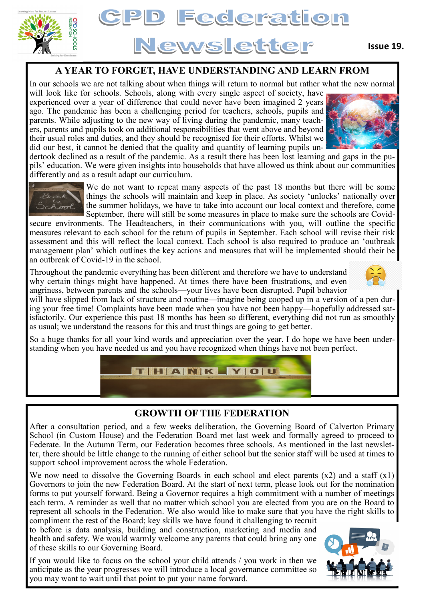



### **A YEAR TO FORGET, HAVE UNDERSTANDING AND LEARN FROM**

In our schools we are not talking about when things will return to normal but rather what the new normal

will look like for schools. Schools, along with every single aspect of society, have experienced over a year of difference that could never have been imagined 2 years ago. The pandemic has been a challenging period for teachers, schools, pupils and parents. While adjusting to the new way of living during the pandemic, many teachers, parents and pupils took on additional responsibilities that went above and beyond their usual roles and duties, and they should be recognised for their efforts. Whilst we did our best, it cannot be denied that the quality and quantity of learning pupils un-

dertook declined as a result of the pandemic. As a result there has been lost learning and gaps in the pupils' education. We were given insights into households that have allowed us think about our communities differently and as a result adapt our curriculum.



We do not want to repeat many aspects of the past 18 months but there will be some things the schools will maintain and keep in place. As society 'unlocks' nationally over the summer holidays, we have to take into account our local context and therefore, come September, there will still be some measures in place to make sure the schools are Covid-

secure environments. The Headteachers, in their communications with you, will outline the specific measures relevant to each school for the return of pupils in September. Each school will revise their risk assessment and this will reflect the local context. Each school is also required to produce an 'outbreak management plan' which outlines the key actions and measures that will be implemented should their be an outbreak of Covid-19 in the school.

Throughout the pandemic everything has been different and therefore we have to understand why certain things might have happened. At times there have been frustrations, and even angriness, between parents and the schools—your lives have been disrupted. Pupil behavior

will have slipped from lack of structure and routine—imagine being cooped up in a version of a pen during your free time! Complaints have been made when you have not been happy—hopefully addressed satisfactorily. Our experience this past 18 months has been so different, everything did not run as smoothly as usual; we understand the reasons for this and trust things are going to get better.

So a huge thanks for all your kind words and appreciation over the year. I do hope we have been understanding when you have needed us and you have recognized when things have not been perfect.



## **GROWTH OF THE FEDERATION**

After a consultation period, and a few weeks deliberation, the Governing Board of Calverton Primary School (in Custom House) and the Federation Board met last week and formally agreed to proceed to Federate. In the Autumn Term, our Federation becomes three schools. As mentioned in the last newsletter, there should be little change to the running of either school but the senior staff will be used at times to support school improvement across the whole Federation.

We now need to dissolve the Governing Boards in each school and elect parents  $(x2)$  and a staff  $(x1)$ Governors to join the new Federation Board. At the start of next term, please look out for the nomination forms to put yourself forward. Being a Governor requires a high commitment with a number of meetings each term. A reminder as well that no matter which school you are elected from you are on the Board to represent all schools in the Federation. We also would like to make sure that you have the right skills to compliment the rest of the Board; key skills we have found it challenging to recruit

to before is data analysis, building and construction, marketing and media and health and safety. We would warmly welcome any parents that could bring any one of these skills to our Governing Board.

If you would like to focus on the school your child attends / you work in then we anticipate as the year progresses we will introduce a local governance committee so you may want to wait until that point to put your name forward.